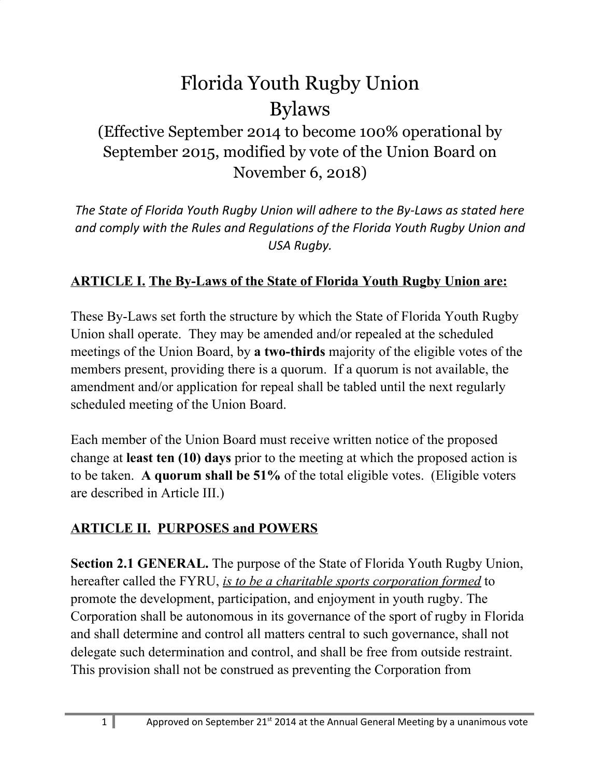# Florida Youth Rugby Union Bylaws

## (Effective September 2014 to become 100% operational by September 2015, modified by vote of the Union Board on November 6, 2018)

*The State of Florida Youth Rugby Union will adhere to the By-Laws as stated here and comply with the Rules and Regulations of the Florida Youth Rugby Union and USA Rugby.*

#### **ARTICLE I. The By-Laws of the State of Florida Youth Rugby Union are:**

These By-Laws set forth the structure by which the State of Florida Youth Rugby Union shall operate. They may be amended and/or repealed at the scheduled meetings of the Union Board, by **a two-thirds** majority of the eligible votes of the members present, providing there is a quorum. If a quorum is not available, the amendment and/or application for repeal shall be tabled until the next regularly scheduled meeting of the Union Board.

Each member of the Union Board must receive written notice of the proposed change at **least ten (10) days** prior to the meeting at which the proposed action is to be taken. **A quorum shall be 51%** of the total eligible votes. (Eligible voters are described in Article III.)

#### **ARTICLE II. PURPOSES and POWERS**

**Section 2.1 GENERAL.** The purpose of the State of Florida Youth Rugby Union, hereafter called the FYRU, *is to be a charitable sports corporation formed* to promote the development, participation, and enjoyment in youth rugby. The Corporation shall be autonomous in its governance of the sport of rugby in Florida and shall determine and control all matters central to such governance, shall not delegate such determination and control, and shall be free from outside restraint. This provision shall not be construed as preventing the Corporation from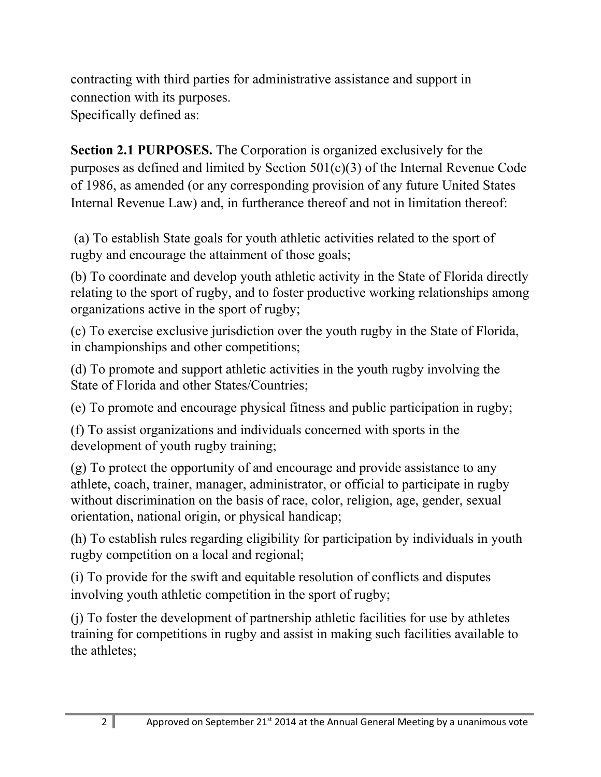contracting with third parties for administrative assistance and support in connection with its purposes. Specifically defined as:

**Section 2.1 PURPOSES.** The Corporation is organized exclusively for the purposes as defined and limited by Section 501(c)(3) of the Internal Revenue Code of 1986, as amended (or any corresponding provision of any future United States Internal Revenue Law) and, in furtherance thereof and not in limitation thereof:

(a) To establish State goals for youth athletic activities related to the sport of rugby and encourage the attainment of those goals;

(b) To coordinate and develop youth athletic activity in the State of Florida directly relating to the sport of rugby, and to foster productive working relationships among organizations active in the sport of rugby;

(c) To exercise exclusive jurisdiction over the youth rugby in the State of Florida, in championships and other competitions;

(d) To promote and support athletic activities in the youth rugby involving the State of Florida and other States/Countries;

(e) To promote and encourage physical fitness and public participation in rugby;

(f) To assist organizations and individuals concerned with sports in the development of youth rugby training;

(g) To protect the opportunity of and encourage and provide assistance to any athlete, coach, trainer, manager, administrator, or official to participate in rugby without discrimination on the basis of race, color, religion, age, gender, sexual orientation, national origin, or physical handicap;

(h) To establish rules regarding eligibility for participation by individuals in youth rugby competition on a local and regional;

(i) To provide for the swift and equitable resolution of conflicts and disputes involving youth athletic competition in the sport of rugby;

(j) To foster the development of partnership athletic facilities for use by athletes training for competitions in rugby and assist in making such facilities available to the athletes;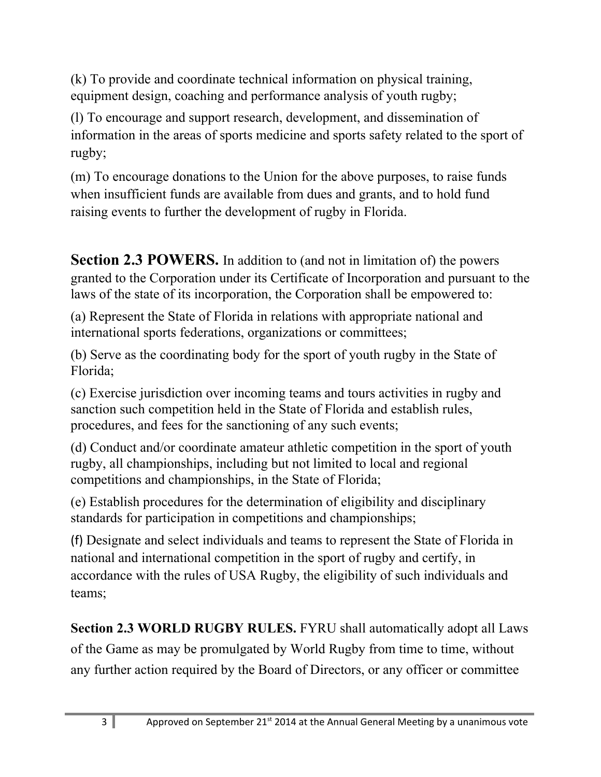(k) To provide and coordinate technical information on physical training, equipment design, coaching and performance analysis of youth rugby;

(l) To encourage and support research, development, and dissemination of information in the areas of sports medicine and sports safety related to the sport of rugby;

(m) To encourage donations to the Union for the above purposes, to raise funds when insufficient funds are available from dues and grants, and to hold fund raising events to further the development of rugby in Florida.

**Section 2.3 POWERS.** In addition to (and not in limitation of) the powers granted to the Corporation under its Certificate of Incorporation and pursuant to the laws of the state of its incorporation, the Corporation shall be empowered to:

(a) Represent the State of Florida in relations with appropriate national and international sports federations, organizations or committees;

(b) Serve as the coordinating body for the sport of youth rugby in the State of Florida;

(c) Exercise jurisdiction over incoming teams and tours activities in rugby and sanction such competition held in the State of Florida and establish rules, procedures, and fees for the sanctioning of any such events;

(d) Conduct and/or coordinate amateur athletic competition in the sport of youth rugby, all championships, including but not limited to local and regional competitions and championships, in the State of Florida;

(e) Establish procedures for the determination of eligibility and disciplinary standards for participation in competitions and championships;

(f) Designate and select individuals and teams to represent the State of Florida in national and international competition in the sport of rugby and certify, in accordance with the rules of USA Rugby, the eligibility of such individuals and teams;

**Section 2.3 WORLD RUGBY RULES.** FYRU shall automatically adopt all Laws of the Game as may be promulgated by World Rugby from time to time, without any further action required by the Board of Directors, or any officer or committee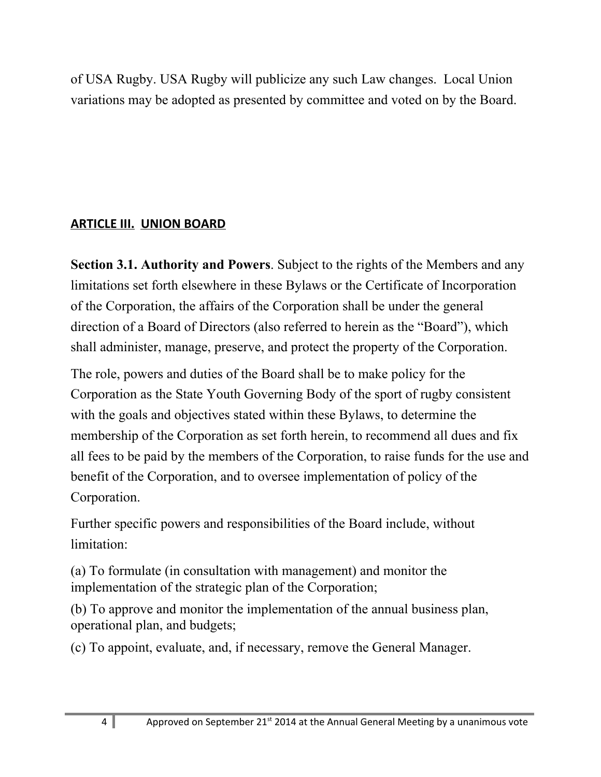of USA Rugby. USA Rugby will publicize any such Law changes. Local Union variations may be adopted as presented by committee and voted on by the Board.

#### **ARTICLE III. UNION BOARD**

**Section 3.1. Authority and Powers**. Subject to the rights of the Members and any limitations set forth elsewhere in these Bylaws or the Certificate of Incorporation of the Corporation, the affairs of the Corporation shall be under the general direction of a Board of Directors (also referred to herein as the "Board"), which shall administer, manage, preserve, and protect the property of the Corporation.

The role, powers and duties of the Board shall be to make policy for the Corporation as the State Youth Governing Body of the sport of rugby consistent with the goals and objectives stated within these Bylaws, to determine the membership of the Corporation as set forth herein, to recommend all dues and fix all fees to be paid by the members of the Corporation, to raise funds for the use and benefit of the Corporation, and to oversee implementation of policy of the Corporation.

Further specific powers and responsibilities of the Board include, without limitation:

(a) To formulate (in consultation with management) and monitor the implementation of the strategic plan of the Corporation;

(b) To approve and monitor the implementation of the annual business plan, operational plan, and budgets;

(c) To appoint, evaluate, and, if necessary, remove the General Manager.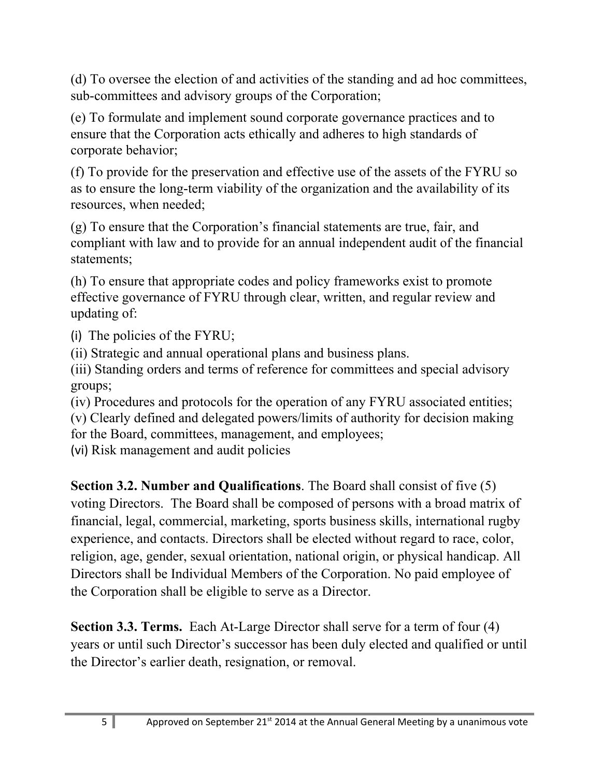(d) To oversee the election of and activities of the standing and ad hoc committees, sub-committees and advisory groups of the Corporation;

(e) To formulate and implement sound corporate governance practices and to ensure that the Corporation acts ethically and adheres to high standards of corporate behavior;

(f) To provide for the preservation and effective use of the assets of the FYRU so as to ensure the long-term viability of the organization and the availability of its resources, when needed;

(g) To ensure that the Corporation's financial statements are true, fair, and compliant with law and to provide for an annual independent audit of the financial statements;

(h) To ensure that appropriate codes and policy frameworks exist to promote effective governance of FYRU through clear, written, and regular review and updating of:

(i) The policies of the FYRU;

(ii) Strategic and annual operational plans and business plans.

(iii) Standing orders and terms of reference for committees and special advisory groups;

(iv) Procedures and protocols for the operation of any FYRU associated entities;

(v) Clearly defined and delegated powers/limits of authority for decision making

for the Board, committees, management, and employees;

(vi) Risk management and audit policies

**Section 3.2. Number and Qualifications**. The Board shall consist of five (5) voting Directors. The Board shall be composed of persons with a broad matrix of financial, legal, commercial, marketing, sports business skills, international rugby experience, and contacts. Directors shall be elected without regard to race, color, religion, age, gender, sexual orientation, national origin, or physical handicap. All Directors shall be Individual Members of the Corporation. No paid employee of the Corporation shall be eligible to serve as a Director.

**Section 3.3. Terms.** Each At-Large Director shall serve for a term of four (4) years or until such Director's successor has been duly elected and qualified or until the Director's earlier death, resignation, or removal.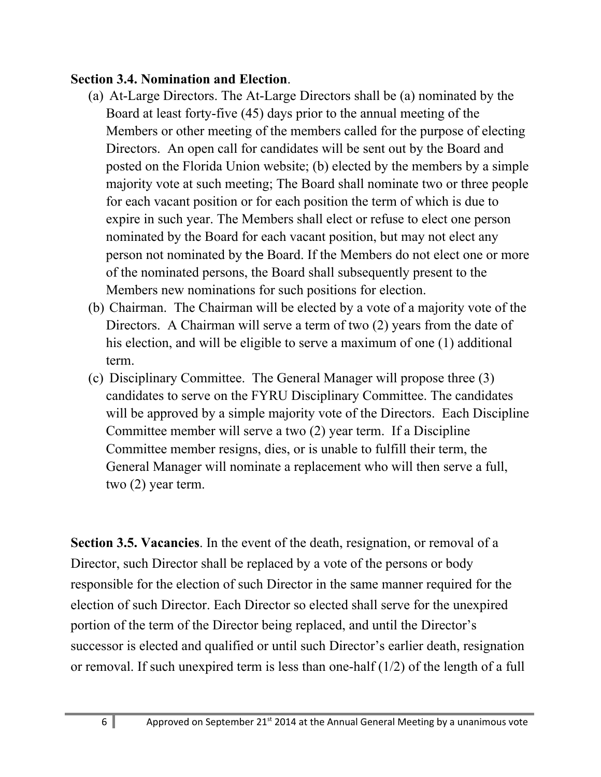#### **Section 3.4. Nomination and Election**.

- (a) At-Large Directors. The At-Large Directors shall be (a) nominated by the Board at least forty-five (45) days prior to the annual meeting of the Members or other meeting of the members called for the purpose of electing Directors. An open call for candidates will be sent out by the Board and posted on the Florida Union website; (b) elected by the members by a simple majority vote at such meeting; The Board shall nominate two or three people for each vacant position or for each position the term of which is due to expire in such year. The Members shall elect or refuse to elect one person nominated by the Board for each vacant position, but may not elect any person not nominated by the Board. If the Members do not elect one or more of the nominated persons, the Board shall subsequently present to the Members new nominations for such positions for election.
- (b) Chairman. The Chairman will be elected by a vote of a majority vote of the Directors. A Chairman will serve a term of two (2) years from the date of his election, and will be eligible to serve a maximum of one (1) additional term.
- (c) Disciplinary Committee. The General Manager will propose three (3) candidates to serve on the FYRU Disciplinary Committee. The candidates will be approved by a simple majority vote of the Directors. Each Discipline Committee member will serve a two (2) year term. If a Discipline Committee member resigns, dies, or is unable to fulfill their term, the General Manager will nominate a replacement who will then serve a full, two (2) year term.

**Section 3.5. Vacancies**. In the event of the death, resignation, or removal of a Director, such Director shall be replaced by a vote of the persons or body responsible for the election of such Director in the same manner required for the election of such Director. Each Director so elected shall serve for the unexpired portion of the term of the Director being replaced, and until the Director's successor is elected and qualified or until such Director's earlier death, resignation or removal. If such unexpired term is less than one-half (1/2) of the length of a full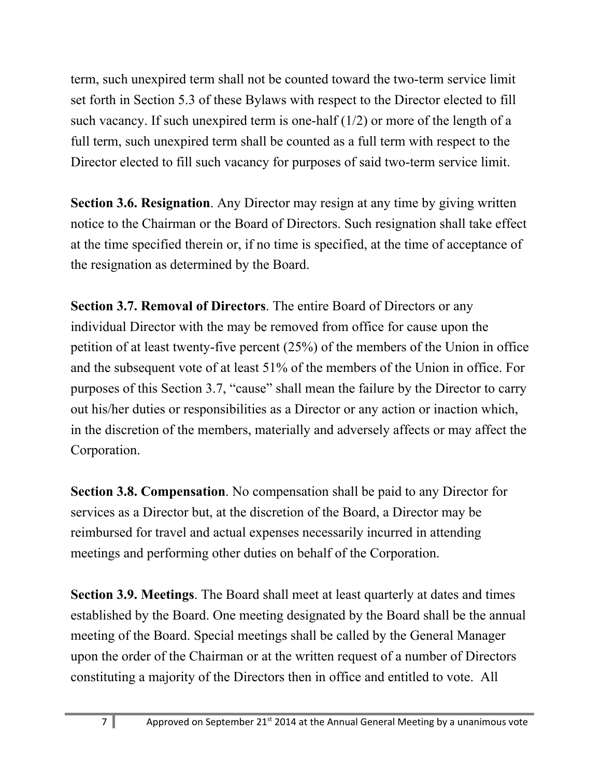term, such unexpired term shall not be counted toward the two-term service limit set forth in Section 5.3 of these Bylaws with respect to the Director elected to fill such vacancy. If such unexpired term is one-half  $(1/2)$  or more of the length of a full term, such unexpired term shall be counted as a full term with respect to the Director elected to fill such vacancy for purposes of said two-term service limit.

**Section 3.6. Resignation**. Any Director may resign at any time by giving written notice to the Chairman or the Board of Directors. Such resignation shall take effect at the time specified therein or, if no time is specified, at the time of acceptance of the resignation as determined by the Board.

**Section 3.7. Removal of Directors**. The entire Board of Directors or any individual Director with the may be removed from office for cause upon the petition of at least twenty-five percent (25%) of the members of the Union in office and the subsequent vote of at least 51% of the members of the Union in office. For purposes of this Section 3.7, "cause" shall mean the failure by the Director to carry out his/her duties or responsibilities as a Director or any action or inaction which, in the discretion of the members, materially and adversely affects or may affect the Corporation.

**Section 3.8. Compensation**. No compensation shall be paid to any Director for services as a Director but, at the discretion of the Board, a Director may be reimbursed for travel and actual expenses necessarily incurred in attending meetings and performing other duties on behalf of the Corporation.

**Section 3.9. Meetings**. The Board shall meet at least quarterly at dates and times established by the Board. One meeting designated by the Board shall be the annual meeting of the Board. Special meetings shall be called by the General Manager upon the order of the Chairman or at the written request of a number of Directors constituting a majority of the Directors then in office and entitled to vote. All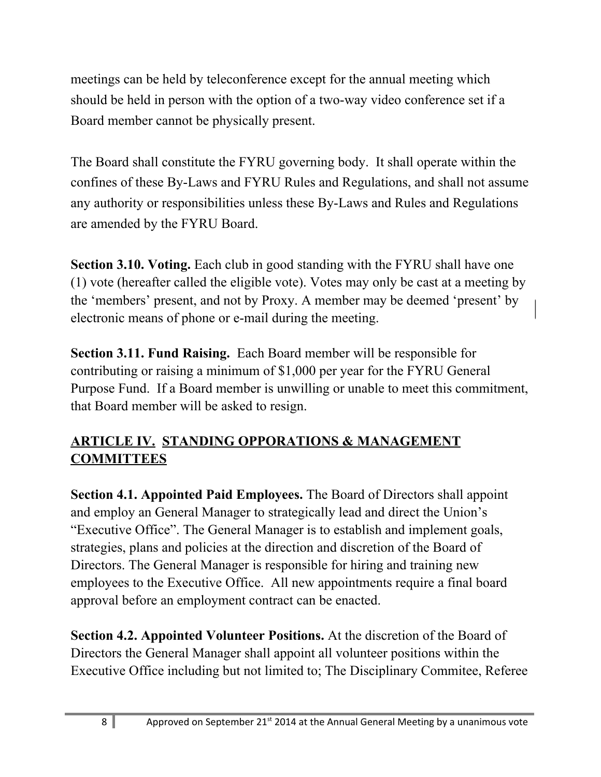meetings can be held by teleconference except for the annual meeting which should be held in person with the option of a two-way video conference set if a Board member cannot be physically present.

The Board shall constitute the FYRU governing body. It shall operate within the confines of these By-Laws and FYRU Rules and Regulations, and shall not assume any authority or responsibilities unless these By-Laws and Rules and Regulations are amended by the FYRU Board.

**Section 3.10. Voting.** Each club in good standing with the FYRU shall have one (1) vote (hereafter called the eligible vote). Votes may only be cast at a meeting by the 'members' present, and not by Proxy. A member may be deemed 'present' by electronic means of phone or e-mail during the meeting.

**Section 3.11. Fund Raising.** Each Board member will be responsible for contributing or raising a minimum of \$1,000 per year for the FYRU General Purpose Fund. If a Board member is unwilling or unable to meet this commitment, that Board member will be asked to resign.

#### **ARTICLE IV. STANDING OPPORATIONS & MANAGEMENT COMMITTEES**

**Section 4.1. Appointed Paid Employees.** The Board of Directors shall appoint and employ an General Manager to strategically lead and direct the Union's "Executive Office". The General Manager is to establish and implement goals, strategies, plans and policies at the direction and discretion of the Board of Directors. The General Manager is responsible for hiring and training new employees to the Executive Office. All new appointments require a final board approval before an employment contract can be enacted.

**Section 4.2. Appointed Volunteer Positions.** At the discretion of the Board of Directors the General Manager shall appoint all volunteer positions within the Executive Office including but not limited to; The Disciplinary Commitee, Referee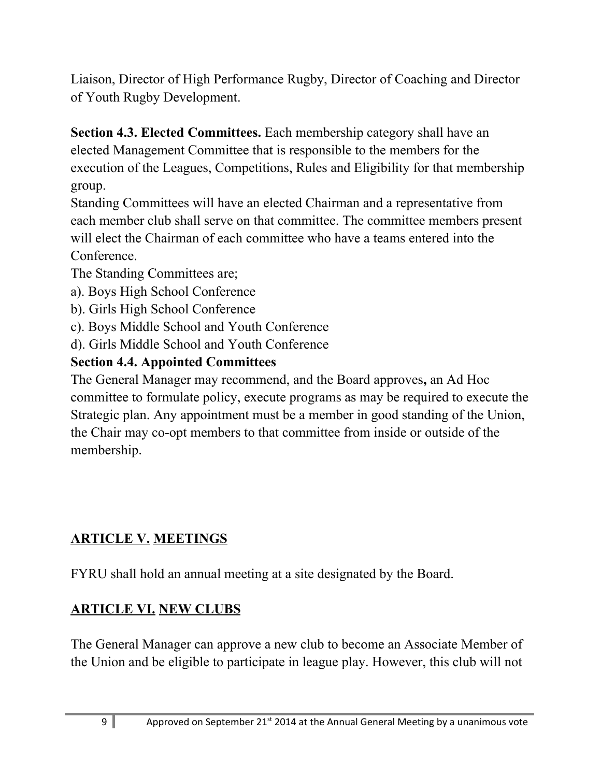Liaison, Director of High Performance Rugby, Director of Coaching and Director of Youth Rugby Development.

**Section 4.3. Elected Committees.** Each membership category shall have an elected Management Committee that is responsible to the members for the execution of the Leagues, Competitions, Rules and Eligibility for that membership group.

Standing Committees will have an elected Chairman and a representative from each member club shall serve on that committee. The committee members present will elect the Chairman of each committee who have a teams entered into the Conference.

The Standing Committees are;

- a). Boys High School Conference
- b). Girls High School Conference
- c). Boys Middle School and Youth Conference
- d). Girls Middle School and Youth Conference

## **Section 4.4. Appointed Committees**

The General Manager may recommend, and the Board approves**,** an Ad Hoc committee to formulate policy, execute programs as may be required to execute the Strategic plan. Any appointment must be a member in good standing of the Union, the Chair may co-opt members to that committee from inside or outside of the membership.

## **ARTICLE V. MEETINGS**

FYRU shall hold an annual meeting at a site designated by the Board.

## **ARTICLE VI. NEW CLUBS**

The General Manager can approve a new club to become an Associate Member of the Union and be eligible to participate in league play. However, this club will not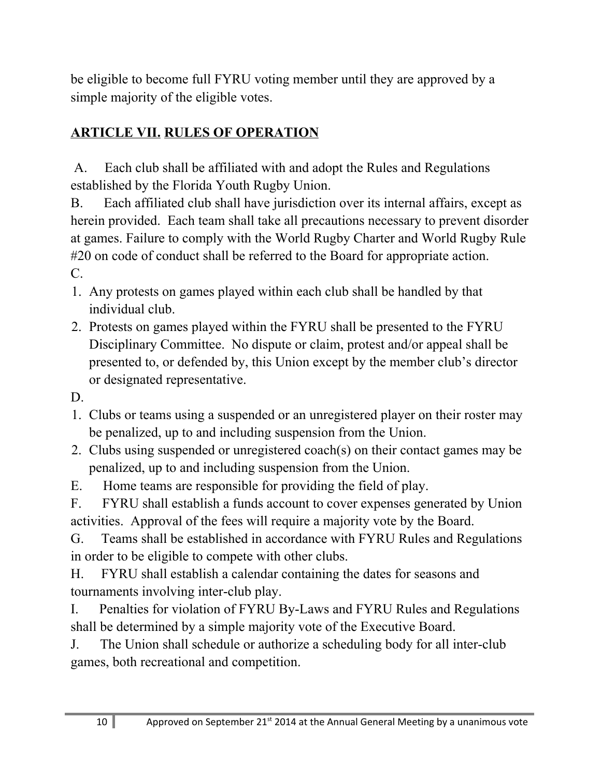be eligible to become full FYRU voting member until they are approved by a simple majority of the eligible votes.

## **ARTICLE VII. RULES OF OPERATION**

A. Each club shall be affiliated with and adopt the Rules and Regulations established by the Florida Youth Rugby Union.

B. Each affiliated club shall have jurisdiction over its internal affairs, except as herein provided. Each team shall take all precautions necessary to prevent disorder at games. Failure to comply with the World Rugby Charter and World Rugby Rule #20 on code of conduct shall be referred to the Board for appropriate action. C.

- 1. Any protests on games played within each club shall be handled by that individual club.
- 2. Protests on games played within the FYRU shall be presented to the FYRU Disciplinary Committee. No dispute or claim, protest and/or appeal shall be presented to, or defended by, this Union except by the member club's director or designated representative.

D.

- 1. Clubs or teams using a suspended or an unregistered player on their roster may be penalized, up to and including suspension from the Union.
- 2. Clubs using suspended or unregistered coach(s) on their contact games may be penalized, up to and including suspension from the Union.
- E. Home teams are responsible for providing the field of play.

F. FYRU shall establish a funds account to cover expenses generated by Union activities. Approval of the fees will require a majority vote by the Board.

G. Teams shall be established in accordance with FYRU Rules and Regulations in order to be eligible to compete with other clubs.

H. FYRU shall establish a calendar containing the dates for seasons and tournaments involving inter-club play.

I. Penalties for violation of FYRU By-Laws and FYRU Rules and Regulations shall be determined by a simple majority vote of the Executive Board.

J. The Union shall schedule or authorize a scheduling body for all inter-club games, both recreational and competition.